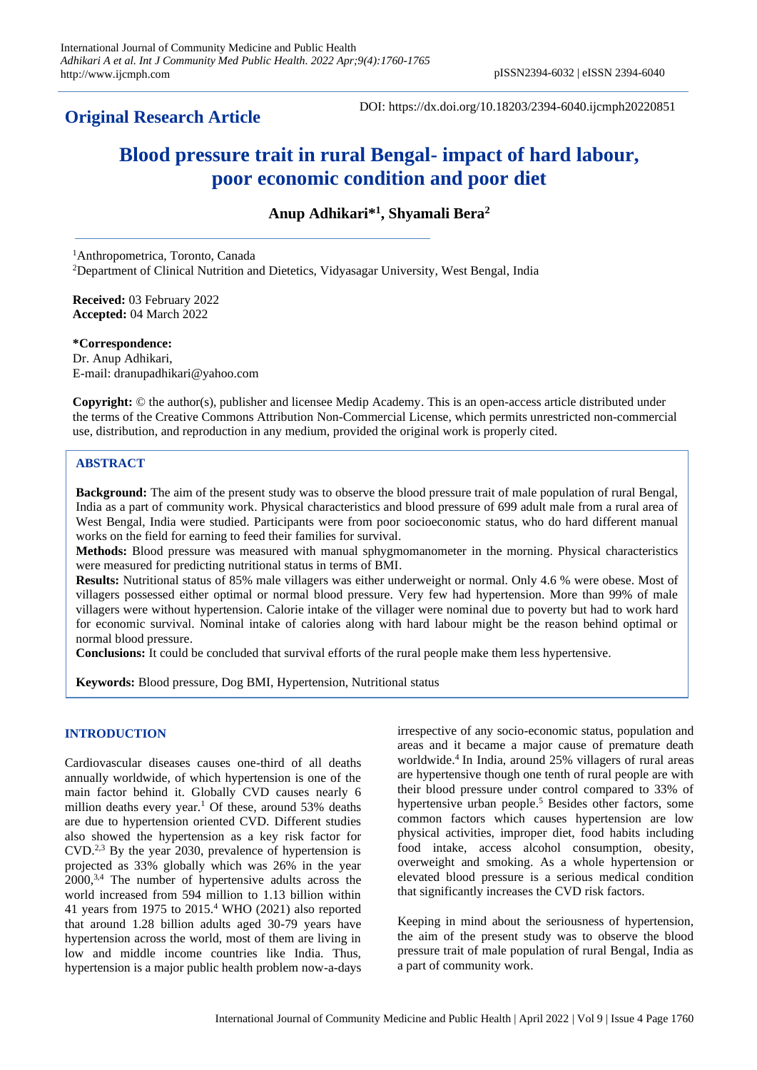## **Original Research Article**

DOI: https://dx.doi.org/10.18203/2394-6040.ijcmph20220851

# **Blood pressure trait in rural Bengal- impact of hard labour, poor economic condition and poor diet**

**Anup Adhikari\* 1 , Shyamali Bera<sup>2</sup>**

<sup>1</sup>Anthropometrica, Toronto, Canada <sup>2</sup>Department of Clinical Nutrition and Dietetics, Vidyasagar University, West Bengal, India

**Received:** 03 February 2022 **Accepted:** 04 March 2022

**\*Correspondence:** Dr. Anup Adhikari, E-mail: dranupadhikari@yahoo.com

**Copyright:** © the author(s), publisher and licensee Medip Academy. This is an open-access article distributed under the terms of the Creative Commons Attribution Non-Commercial License, which permits unrestricted non-commercial use, distribution, and reproduction in any medium, provided the original work is properly cited.

## **ABSTRACT**

**Background:** The aim of the present study was to observe the blood pressure trait of male population of rural Bengal, India as a part of community work. Physical characteristics and blood pressure of 699 adult male from a rural area of West Bengal, India were studied. Participants were from poor socioeconomic status, who do hard different manual works on the field for earning to feed their families for survival.

**Methods:** Blood pressure was measured with manual sphygmomanometer in the morning. Physical characteristics were measured for predicting nutritional status in terms of BMI.

**Results:** Nutritional status of 85% male villagers was either underweight or normal. Only 4.6 % were obese. Most of villagers possessed either optimal or normal blood pressure. Very few had hypertension. More than 99% of male villagers were without hypertension. Calorie intake of the villager were nominal due to poverty but had to work hard for economic survival. Nominal intake of calories along with hard labour might be the reason behind optimal or normal blood pressure.

**Conclusions:** It could be concluded that survival efforts of the rural people make them less hypertensive.

**Keywords:** Blood pressure, Dog BMI, Hypertension, Nutritional status

## **INTRODUCTION**

Cardiovascular diseases causes one-third of all deaths annually worldwide, of which hypertension is one of the main factor behind it. Globally CVD causes nearly 6 million deaths every year.<sup>1</sup> Of these, around  $53\%$  deaths are due to hypertension oriented CVD. Different studies also showed the hypertension as a key risk factor for CVD.2,3 By the year 2030, prevalence of hypertension is projected as 33% globally which was 26% in the year 2000,3,4 The number of hypertensive adults across the world increased from 594 million to 1.13 billion within 41 years from 1975 to 2015.<sup>4</sup> WHO (2021) also reported that around 1.28 billion adults aged 30-79 years have hypertension across the world, most of them are living in low and middle income countries like India. Thus, hypertension is a major public health problem now-a-days

irrespective of any socio-economic status, population and areas and it became a major cause of premature death worldwide. 4 In India, around 25% villagers of rural areas are hypertensive though one tenth of rural people are with their blood pressure under control compared to 33% of hypertensive urban people. <sup>5</sup> Besides other factors, some common factors which causes hypertension are low physical activities, improper diet, food habits including food intake, access alcohol consumption, obesity, overweight and smoking. As a whole hypertension or elevated blood pressure is a serious medical condition that significantly increases the CVD risk factors.

Keeping in mind about the seriousness of hypertension, the aim of the present study was to observe the blood pressure trait of male population of rural Bengal, India as a part of community work.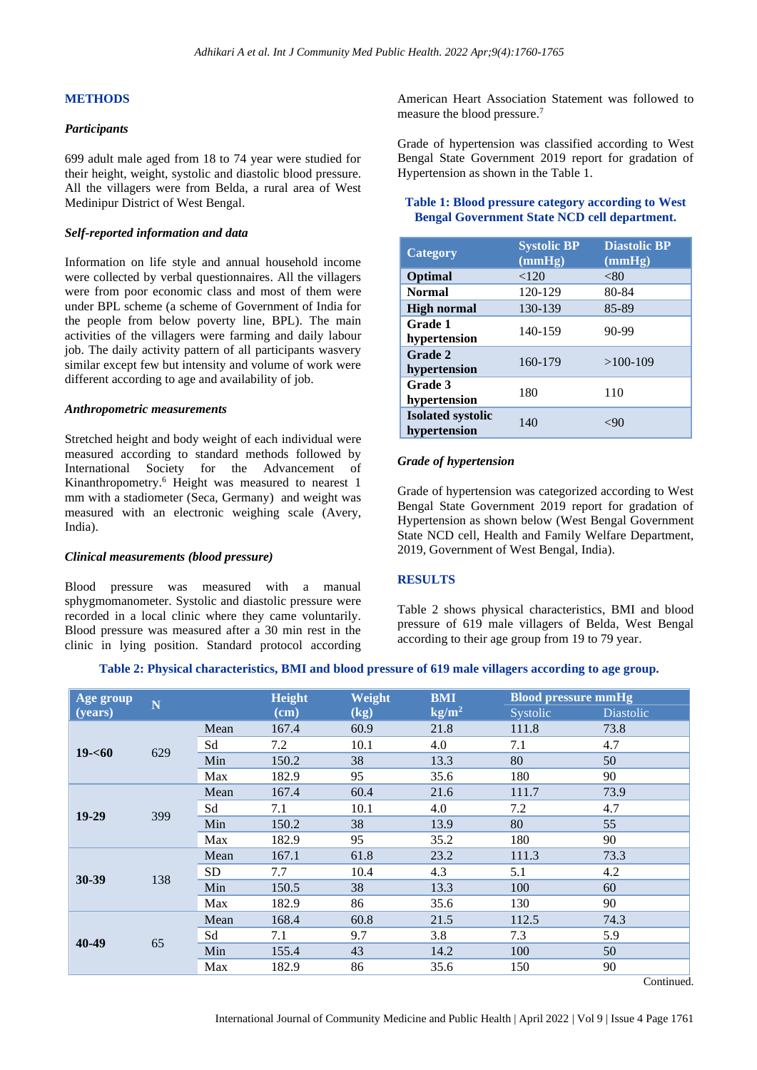#### **METHODS**

## *Participants*

699 adult male aged from 18 to 74 year were studied for their height, weight, systolic and diastolic blood pressure. All the villagers were from Belda, a rural area of West Medinipur District of West Bengal.

#### *Self-reported information and data*

Information on life style and annual household income were collected by verbal questionnaires. All the villagers were from poor economic class and most of them were under BPL scheme (a scheme of Government of India for the people from below poverty line, BPL). The main activities of the villagers were farming and daily labour job. The daily activity pattern of all participants wasvery similar except few but intensity and volume of work were different according to age and availability of job.

#### *Anthropometric measurements*

Stretched height and body weight of each individual were measured according to standard methods followed by International Society for the Advancement of Kinanthropometry. <sup>6</sup> Height was measured to nearest 1 mm with a stadiometer (Seca, Germany) and weight was measured with an electronic weighing scale (Avery, India).

#### *Clinical measurements (blood pressure)*

Blood pressure was measured with a manual sphygmomanometer. Systolic and diastolic pressure were recorded in a local clinic where they came voluntarily. Blood pressure was measured after a 30 min rest in the clinic in lying position. Standard protocol according

American Heart Association Statement was followed to measure the blood pressure.<sup>7</sup>

Grade of hypertension was classified according to West Bengal State Government 2019 report for gradation of Hypertension as shown in the Table 1.

#### **Table 1: Blood pressure category according to West Bengal Government State NCD cell department.**

| Category                                 | <b>Systolic BP</b><br>(mmHg) | <b>Diastolic BP</b><br>(mmHg) |
|------------------------------------------|------------------------------|-------------------------------|
| Optimal                                  | < 120                        | < 80                          |
| <b>Normal</b>                            | 120-129                      | 80-84                         |
| <b>High normal</b>                       | 130-139                      | 85-89                         |
| Grade 1<br>hypertension                  | 140-159                      | $90 - 99$                     |
| Grade 2<br>hypertension                  | 160-179                      | $>100-109$                    |
| Grade 3<br>hypertension                  | 180                          | 110                           |
| <b>Isolated systolic</b><br>hypertension | 140                          |                               |

#### *Grade of hypertension*

Grade of hypertension was categorized according to West Bengal State Government 2019 report for gradation of Hypertension as shown below (West Bengal Government State NCD cell, Health and Family Welfare Department, 2019, Government of West Bengal, India).

#### **RESULTS**

Table 2 shows physical characteristics, BMI and blood pressure of 619 male villagers of Belda, West Bengal according to their age group from 19 to 79 year.

**Table 2: Physical characteristics, BMI and blood pressure of 619 male villagers according to age group.**

| Age group | ${\bf N}$ |           | <b>Height</b> | Weight<br><b>BMI</b> |                 | <b>Blood pressure mmHg</b> |                     |
|-----------|-----------|-----------|---------------|----------------------|-----------------|----------------------------|---------------------|
| (years)   |           |           | $(cm)$        | (kg)                 | $\text{kg/m}^2$ | Systolic                   | <b>Diastolic</b>    |
|           |           | Mean      | 167.4         | 60.9                 | 21.8            | 111.8                      | 73.8                |
|           | 629       | Sd        | 7.2           | 10.1                 | 4.0             | 7.1                        | 4.7                 |
| $19 - 60$ |           | Min       | 150.2         | 38                   | 13.3            | 80                         | 50                  |
|           |           | Max       | 182.9         | 95                   | 35.6            | 180                        | 90                  |
|           |           | Mean      | 167.4         | 60.4                 | 21.6            | 111.7                      | 73.9                |
|           | 399       | Sd        | 7.1           | 10.1                 | 4.0             | 7.2                        | 4.7                 |
| 19-29     |           | Min       | 150.2         | 38                   | 13.9            | 80                         | 55                  |
|           |           | Max       | 182.9         | 95                   | 35.2            | 180                        | 90                  |
| 30-39     | 138       | Mean      | 167.1         | 61.8                 | 23.2            | 111.3                      | 73.3                |
|           |           | <b>SD</b> | 7.7           | 10.4                 | 4.3             | 5.1                        | 4.2                 |
|           |           | Min       | 150.5         | 38                   | 13.3            | 100                        | 60                  |
|           |           | Max       | 182.9         | 86                   | 35.6            | 130                        | 90                  |
| 40-49     | 65        | Mean      | 168.4         | 60.8                 | 21.5            | 112.5                      | 74.3                |
|           |           | Sd        | 7.1           | 9.7                  | 3.8             | 7.3                        | 5.9                 |
|           |           | Min       | 155.4         | 43                   | 14.2            | 100                        | 50                  |
|           |           | Max       | 182.9         | 86                   | 35.6            | 150                        | 90<br>$\sim$ $\sim$ |

Continued.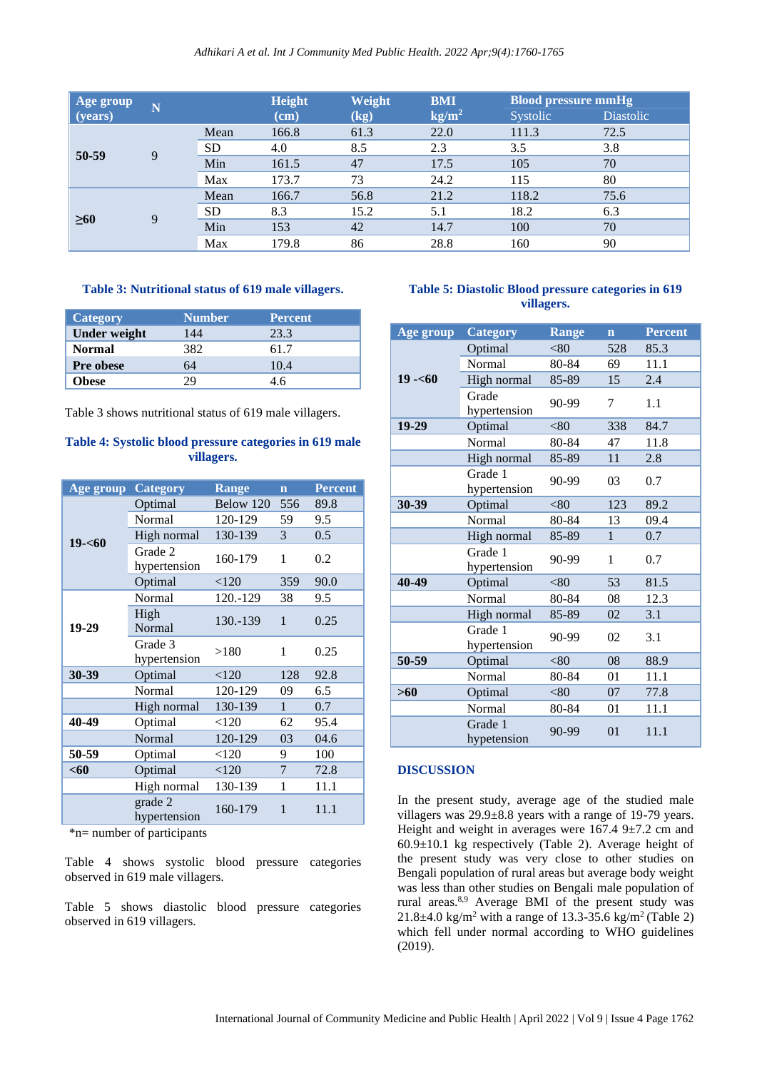| Age group | N |           | <b>Height</b> | Weight | <b>BMI</b>      | <b>Blood pressure mmHg</b> |                  |
|-----------|---|-----------|---------------|--------|-----------------|----------------------------|------------------|
| (years)   |   |           | $(cm)$        | (kg)   | $\text{kg/m}^2$ | Systolic                   | <b>Diastolic</b> |
| 50-59     |   | Mean      | 166.8         | 61.3   | 22.0            | 111.3                      | 72.5             |
|           | 9 | <b>SD</b> | 4.0           | 8.5    | 2.3             | 3.5                        | 3.8              |
|           |   | Min       | 161.5         | 47     | 17.5            | 105                        | 70               |
|           |   | Max       | 173.7         | 73     | 24.2            | 115                        | 80               |
| $\geq 60$ | 9 | Mean      | 166.7         | 56.8   | 21.2            | 118.2                      | 75.6             |
|           |   | <b>SD</b> | 8.3           | 15.2   | 5.1             | 18.2                       | 6.3              |
|           |   | Min       | 153           | 42     | 14.7            | 100                        | 70               |
|           |   | Max       | 179.8         | 86     | 28.8            | 160                        | 90               |

#### **Table 3: Nutritional status of 619 male villagers.**

| Category            | <b>Number</b> | <b>Percent</b> |
|---------------------|---------------|----------------|
| <b>Under weight</b> | 144           | 23.3           |
| <b>Normal</b>       | 382           | 61.7           |
| <b>Pre obese</b>    | 64            | 10.4           |
| Obese               | 7Q            | 46             |

Table 3 shows nutritional status of 619 male villagers.

## **Table 4: Systolic blood pressure categories in 619 male villagers.**

| Age group        | <b>Category</b>            | Range     | $\overline{\mathbf{n}}$ | <b>Percent</b> |
|------------------|----------------------------|-----------|-------------------------|----------------|
|                  | Optimal                    | Below 120 | 556                     | 89.8           |
| $19 - 60$        | Normal                     | 120-129   | 59                      | 9.5            |
|                  | High normal                | 130-139   | 3                       | 0.5            |
|                  | Grade 2<br>hypertension    | 160-179   | 1                       | 0.2            |
|                  | Optimal                    | < 120     | 359                     | 90.0           |
|                  | Normal                     | 120.-129  | 38                      | 9.5            |
| 19-29            | High<br>130.-139<br>Normal |           | $\mathbf{1}$            | 0.25           |
|                  | Grade 3<br>hypertension    | >180      | 1                       | 0.25           |
| 30-39<br>Optimal |                            | < 120     | 128                     | 92.8           |
|                  | Normal                     | 120-129   | 09                      | 6.5            |
|                  | High normal                | 130-139   | $\mathbf{1}$            | 0.7            |
| 40-49<br>Optimal |                            | < 120     | 62                      | 95.4           |
| Normal           |                            | 120-129   | 03                      | 04.6           |
| 50-59            | Optimal                    |           | 9                       | 100            |
| $<$ 60           | Optimal                    |           | $\overline{7}$          | 72.8           |
|                  | High normal                | 130-139   | 1                       | 11.1           |
|                  | grade 2<br>hypertension    | 160-179   | $\mathbf{1}$            | 11.1           |

\*n= number of participants

Table 4 shows systolic blood pressure categories observed in 619 male villagers.

Table 5 shows diastolic blood pressure categories observed in 619 villagers.

## **Table 5: Diastolic Blood pressure categories in 619 villagers.**

| Age group | <b>Category</b>         | <b>Range</b> | $\overline{\mathbf{n}}$ | <b>Percent</b> |
|-----------|-------------------------|--------------|-------------------------|----------------|
|           | Optimal                 | < 80         | 528                     | 85.3           |
|           | Normal                  | 80-84        | 69                      | 11.1           |
| $19 - 60$ | High normal             | 85-89        | 15                      | 2.4            |
|           | Grade<br>hypertension   | 90-99        | 7                       | 1.1            |
| 19-29     | Optimal                 | < 80         | 338                     | 84.7           |
|           | Normal                  | 80-84        | 47                      | 11.8           |
|           | High normal             | 85-89        | 11                      | 2.8            |
|           | Grade 1<br>hypertension | 90-99        | 03                      | 0.7            |
| 30-39     | Optimal                 | <80          | 123                     | 89.2           |
|           | Normal                  | 80-84        | 13                      | 09.4           |
|           | High normal             | 85-89        | $\mathbf{1}$            | 0.7            |
|           | Grade 1<br>hypertension | 90-99        | 1                       | 0.7            |
| 40-49     | Optimal                 | <80          | 53                      | 81.5           |
|           | Normal                  | 80-84        | 08                      | 12.3           |
|           | High normal             | 85-89        | 02                      | 3.1            |
|           | Grade 1<br>hypertension | 90-99        | 02                      | 3.1            |
| 50-59     | Optimal                 | < 80         | 08                      | 88.9           |
|           | Normal                  | 80-84        | 01                      | 11.1           |
| $>60$     | Optimal                 | < 80         | 07                      | 77.8           |
|           | Normal                  | 80-84        | 01                      | 11.1           |
|           | Grade 1<br>hypetension  | 90-99        | 01                      | 11.1           |

## **DISCUSSION**

In the present study, average age of the studied male villagers was 29.9±8.8 years with a range of 19-79 years. Height and weight in averages were  $167.4$  9 $\pm$ 7.2 cm and  $60.9\pm10.1$  kg respectively (Table 2). Average height of the present study was very close to other studies on Bengali population of rural areas but average body weight was less than other studies on Bengali male population of rural areas.8,9 Average BMI of the present study was 21.8 $\pm$ 4.0 kg/m<sup>2</sup> with a range of 13.3-35.6 kg/m<sup>2</sup> (Table 2) which fell under normal according to WHO guidelines (2019).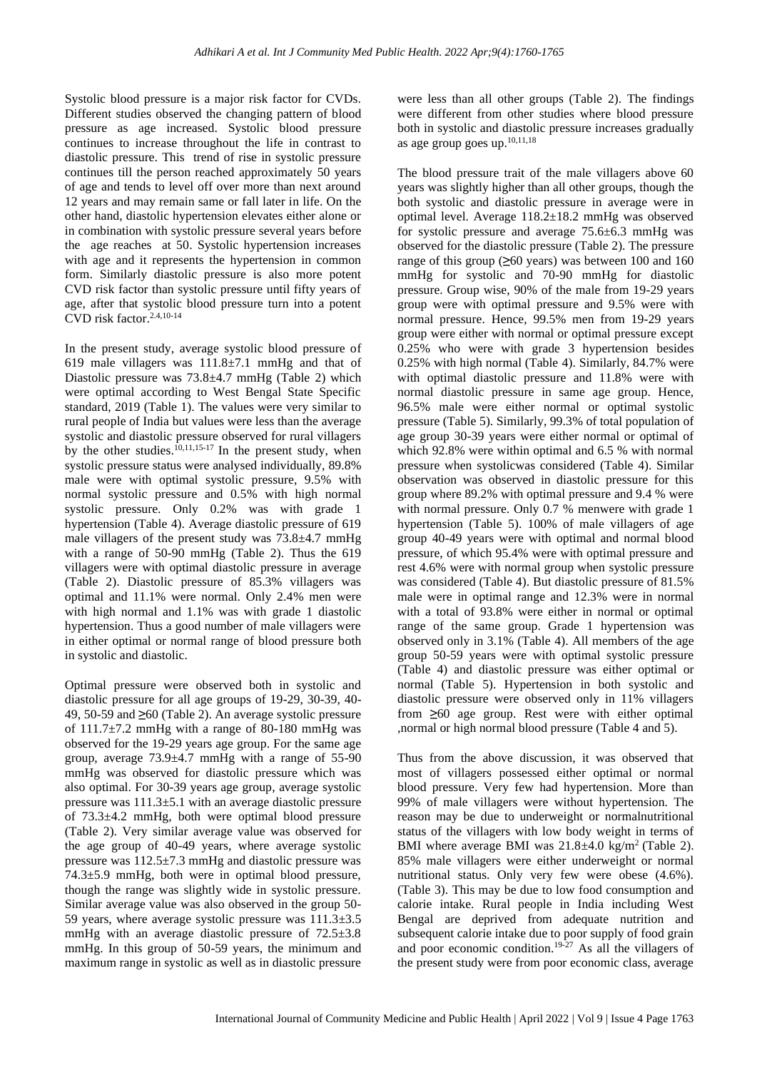Systolic blood pressure is a major risk factor for CVDs. Different studies observed the changing pattern of blood pressure as age increased. Systolic blood pressure continues to increase throughout the life in contrast to diastolic pressure. This trend of rise in systolic pressure continues till the person reached approximately 50 years of age and tends to level off over more than next around 12 years and may remain same or fall later in life. On the other hand, diastolic hypertension elevates either alone or in combination with systolic pressure several years before the age reaches at 50. Systolic hypertension increases with age and it represents the hypertension in common form. Similarly diastolic pressure is also more potent CVD risk factor than systolic pressure until fifty years of age, after that systolic blood pressure turn into a potent CVD risk factor. 2.4,10-14

In the present study, average systolic blood pressure of 619 male villagers was  $111.8 \pm 7.1$  mmHg and that of Diastolic pressure was 73.8±4.7 mmHg (Table 2) which were optimal according to West Bengal State Specific standard, 2019 (Table 1). The values were very similar to rural people of India but values were less than the average systolic and diastolic pressure observed for rural villagers by the other studies. $10,11,15-17$  In the present study, when systolic pressure status were analysed individually, 89.8% male were with optimal systolic pressure, 9.5% with normal systolic pressure and 0.5% with high normal systolic pressure. Only 0.2% was with grade 1 hypertension (Table 4). Average diastolic pressure of 619 male villagers of the present study was  $73.8\pm4.7$  mmHg with a range of 50-90 mmHg (Table 2). Thus the 619 villagers were with optimal diastolic pressure in average (Table 2). Diastolic pressure of 85.3% villagers was optimal and 11.1% were normal. Only 2.4% men were with high normal and 1.1% was with grade 1 diastolic hypertension. Thus a good number of male villagers were in either optimal or normal range of blood pressure both in systolic and diastolic.

Optimal pressure were observed both in systolic and diastolic pressure for all age groups of 19-29, 30-39, 40- 49, 50-59 and **≥**60 (Table 2). An average systolic pressure of 111.7±7.2 mmHg with a range of 80-180 mmHg was observed for the 19-29 years age group. For the same age group, average 73.9±4.7 mmHg with a range of 55-90 mmHg was observed for diastolic pressure which was also optimal. For 30-39 years age group, average systolic pressure was 111.3±5.1 with an average diastolic pressure of 73.3±4.2 mmHg, both were optimal blood pressure (Table 2). Very similar average value was observed for the age group of 40-49 years, where average systolic pressure was 112.5±7.3 mmHg and diastolic pressure was 74.3±5.9 mmHg, both were in optimal blood pressure, though the range was slightly wide in systolic pressure. Similar average value was also observed in the group 50- 59 years, where average systolic pressure was  $111.3\pm3.5$ mmHg with an average diastolic pressure of  $72.5\pm3.8$ mmHg. In this group of 50-59 years, the minimum and maximum range in systolic as well as in diastolic pressure

were less than all other groups (Table 2). The findings were different from other studies where blood pressure both in systolic and diastolic pressure increases gradually as age group goes up.  $10,11,18$ 

The blood pressure trait of the male villagers above 60 years was slightly higher than all other groups, though the both systolic and diastolic pressure in average were in optimal level. Average 118.2±18.2 mmHg was observed for systolic pressure and average 75.6±6.3 mmHg was observed for the diastolic pressure (Table 2). The pressure range of this group (**≥**60 years) was between 100 and 160 mmHg for systolic and 70-90 mmHg for diastolic pressure. Group wise, 90% of the male from 19-29 years group were with optimal pressure and 9.5% were with normal pressure. Hence, 99.5% men from 19-29 years group were either with normal or optimal pressure except 0.25% who were with grade 3 hypertension besides 0.25% with high normal (Table 4). Similarly, 84.7% were with optimal diastolic pressure and 11.8% were with normal diastolic pressure in same age group. Hence, 96.5% male were either normal or optimal systolic pressure (Table 5). Similarly, 99.3% of total population of age group 30-39 years were either normal or optimal of which 92.8% were within optimal and 6.5 % with normal pressure when systolicwas considered (Table 4). Similar observation was observed in diastolic pressure for this group where 89.2% with optimal pressure and 9.4 % were with normal pressure. Only 0.7 % menwere with grade 1 hypertension (Table 5). 100% of male villagers of age group 40-49 years were with optimal and normal blood pressure, of which 95.4% were with optimal pressure and rest 4.6% were with normal group when systolic pressure was considered (Table 4). But diastolic pressure of 81.5% male were in optimal range and 12.3% were in normal with a total of 93.8% were either in normal or optimal range of the same group. Grade 1 hypertension was observed only in 3.1% (Table 4). All members of the age group 50-59 years were with optimal systolic pressure (Table 4) and diastolic pressure was either optimal or normal (Table 5). Hypertension in both systolic and diastolic pressure were observed only in 11% villagers from **≥**60 age group. Rest were with either optimal ,normal or high normal blood pressure (Table 4 and 5).

Thus from the above discussion, it was observed that most of villagers possessed either optimal or normal blood pressure. Very few had hypertension. More than 99% of male villagers were without hypertension. The reason may be due to underweight or normalnutritional status of the villagers with low body weight in terms of BMI where average BMI was  $21.8 \pm 4.0$  kg/m<sup>2</sup> (Table 2). 85% male villagers were either underweight or normal nutritional status. Only very few were obese (4.6%). (Table 3). This may be due to low food consumption and calorie intake. Rural people in India including West Bengal are deprived from adequate nutrition and subsequent calorie intake due to poor supply of food grain and poor economic condition. 19-27 As all the villagers of the present study were from poor economic class, average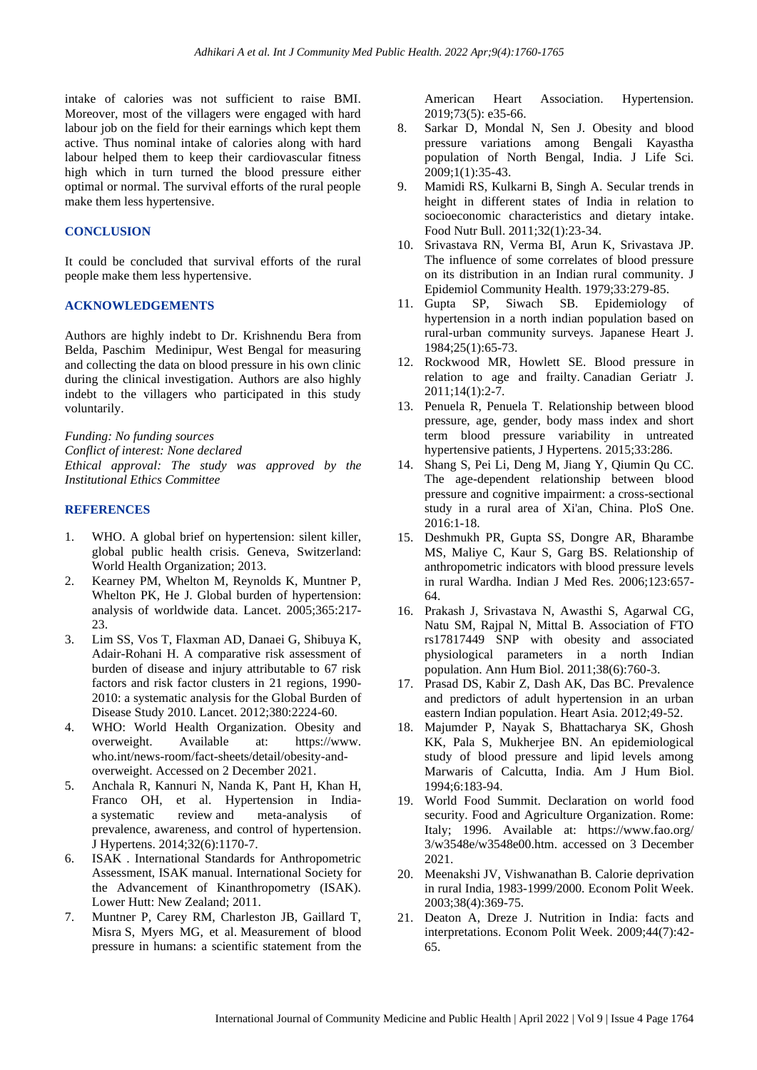intake of calories was not sufficient to raise BMI. Moreover, most of the villagers were engaged with hard labour job on the field for their earnings which kept them active. Thus nominal intake of calories along with hard labour helped them to keep their cardiovascular fitness high which in turn turned the blood pressure either optimal or normal. The survival efforts of the rural people make them less hypertensive.

#### **CONCLUSION**

It could be concluded that survival efforts of the rural people make them less hypertensive.

#### **ACKNOWLEDGEMENTS**

Authors are highly indebt to Dr. Krishnendu Bera from Belda, Paschim Medinipur, West Bengal for measuring and collecting the data on blood pressure in his own clinic during the clinical investigation. Authors are also highly indebt to the villagers who participated in this study voluntarily.

*Funding: No funding sources Conflict of interest: None declared Ethical approval: The study was approved by the Institutional Ethics Committee*

#### **REFERENCES**

- 1. WHO. A global brief on hypertension: silent killer, global public health crisis. Geneva, Switzerland: World Health Organization; 2013.
- 2. Kearney PM, Whelton M, Reynolds K, Muntner P, Whelton PK, He J. Global burden of hypertension: analysis of worldwide data. Lancet. 2005;365:217- 23.
- 3. Lim SS, Vos T, Flaxman AD, Danaei G, Shibuya K, Adair-Rohani H. A comparative risk assessment of burden of disease and injury attributable to 67 risk factors and risk factor clusters in 21 regions, 1990- 2010: a systematic analysis for the Global Burden of Disease Study 2010. Lancet. 2012;380:2224-60.
- 4. WHO: World Health Organization. Obesity and overweight. Available at: https://www. who.int/news-room/fact-sheets/detail/obesity-andoverweight. Accessed on 2 December 2021.
- 5. Anchala R, Kannuri N, Nanda K, Pant H, Khan H, Franco OH, et al. Hypertension in Indiaa systematic review and meta-analysis of prevalence, awareness, and control of hypertension. J Hypertens. 2014;32(6):1170-7.
- 6. ISAK . International Standards for Anthropometric Assessment, ISAK manual. International Society for the Advancement of Kinanthropometry (ISAK). Lower Hutt: New Zealand; 2011.
- 7. Muntner P, Carey RM, Charleston JB, Gaillard T, Misra S, Myers MG, et al. Measurement of blood pressure in humans: a scientific statement from the

American Heart Association. Hypertension. 2019;73(5): e35-66.

- 8. Sarkar D, Mondal N, Sen J. Obesity and blood pressure variations among Bengali Kayastha population of North Bengal, India. J Life Sci. 2009;1(1):35-43.
- 9. Mamidi RS, Kulkarni B, Singh A. Secular trends in height in different states of India in relation to socioeconomic characteristics and dietary intake. Food Nutr Bull. 2011;32(1):23-34.
- 10. Srivastava RN, Verma BI, Arun K, Srivastava JP. The influence of some correlates of blood pressure on its distribution in an Indian rural community. J Epidemiol Community Health. 1979;33:279-85.
- 11. Gupta SP, Siwach SB. Epidemiology of hypertension in a north indian population based on rural-urban community surveys. Japanese Heart J. 1984;25(1):65-73.
- 12. Rockwood MR, Howlett SE. Blood pressure in relation to age and frailty. Canadian Geriatr J. 2011;14(1):2-7.
- 13. Penuela R, Penuela T. Relationship between blood pressure, age, gender, body mass index and short term blood pressure variability in untreated hypertensive patients, J Hypertens. 2015;33:286.
- 14. Shang S, Pei Li, Deng M, Jiang Y, Qiumin Qu CC. The age-dependent relationship between blood pressure and cognitive impairment: a cross-sectional study in a rural area of Xi'an, China. PloS One. 2016:1-18.
- 15. Deshmukh PR, Gupta SS, Dongre AR, Bharambe MS, Maliye C, Kaur S, Garg BS. Relationship of anthropometric indicators with blood pressure levels in rural Wardha. Indian J Med Res. 2006;123:657- 64.
- 16. Prakash J, Srivastava N, Awasthi S, Agarwal CG, Natu SM, Rajpal N, Mittal B. Association of FTO rs17817449 SNP with obesity and associated physiological parameters in a north Indian population. Ann Hum Biol. 2011;38(6):760-3.
- 17. Prasad DS, Kabir Z, Dash AK, Das BC. Prevalence and predictors of adult hypertension in an urban eastern Indian population. Heart Asia. 2012;49-52.
- 18. Majumder P, Nayak S, Bhattacharya SK, Ghosh KK, Pala S, Mukherjee BN. An epidemiological study of blood pressure and lipid levels among Marwaris of Calcutta, India. Am J Hum Biol. 1994;6:183-94.
- 19. World Food Summit. Declaration on world food security. Food and Agriculture Organization. Rome: Italy; 1996. Available at: https://www.fao.org/ 3/w3548e/w3548e00.htm. accessed on 3 December 2021.
- 20. Meenakshi JV, Vishwanathan B. Calorie deprivation in rural India, 1983-1999/2000. Econom Polit Week. 2003;38(4):369-75.
- 21. Deaton A, Dreze J. Nutrition in India: facts and interpretations. Econom Polit Week. 2009;44(7):42- 65.